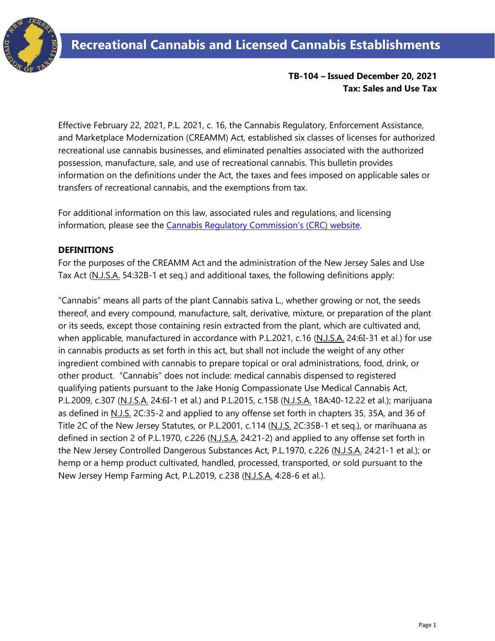

## **TB-104 – Issued December 20, 2021 Tax: Sales and Use Tax**

Effective February 22, 2021, P.L. 2021, c. 16, the Cannabis Regulatory, Enforcement Assistance, and Marketplace Modernization (CREAMM) Act, established six classes of licenses for authorized recreational use cannabis businesses, and eliminated penalties associated with the authorized possession, manufacture, sale, and use of recreational cannabis. This bulletin provides information on the definitions under the Act, the taxes and fees imposed on applicable sales or transfers of recreational cannabis, and the exemptions from tax.

For additional information on this law, associated rules and regulations, and licensing information, please see the [Cannabis Regulatory Commission's](https://www.nj.gov/cannabis/) (CRC) website.

### **DEFINITIONS**

For the purposes of the CREAMM Act and the administration of the New Jersey Sales and Use Tax Act (N.J.S.A. 54:32B-1 et seq.) and additional taxes, the following definitions apply:

"Cannabis" means all parts of the plant Cannabis sativa L., whether growing or not, the seeds thereof, and every compound, manufacture, salt, derivative, mixture, or preparation of the plant or its seeds, except those containing resin extracted from the plant, which are cultivated and, when applicable, manufactured in accordance with P.L.2021, c.16 (N.J.S.A. 24:6I-31 et al.) for use in cannabis products as set forth in this act, but shall not include the weight of any other ingredient combined with cannabis to prepare topical or oral administrations, food, drink, or other product. "Cannabis" does not include: medical cannabis dispensed to registered qualifying patients pursuant to the Jake Honig Compassionate Use Medical Cannabis Act, P.L.2009, c.307 (N.J.S.A. 24:6I-1 et al.) and P.L.2015, c.158 (N.J.S.A. 18A:40-12.22 et al.); marijuana as defined in N.J.S. 2C:35-2 and applied to any offense set forth in chapters 35, 35A, and 36 of Title 2C of the New Jersey Statutes, or P.L.2001, c.114 (N.J.S. 2C:35B-1 et seq.), or marihuana as defined in section 2 of P.L.1970, c.226 (N.J.S.A. 24:21-2) and applied to any offense set forth in the New Jersey Controlled Dangerous Substances Act, P.L.1970, c.226 (N.J.S.A. 24:21-1 et al.); or hemp or a hemp product cultivated, handled, processed, transported, or sold pursuant to the New Jersey Hemp Farming Act, P.L.2019, c.238 (N.J.S.A. 4:28-6 et al.).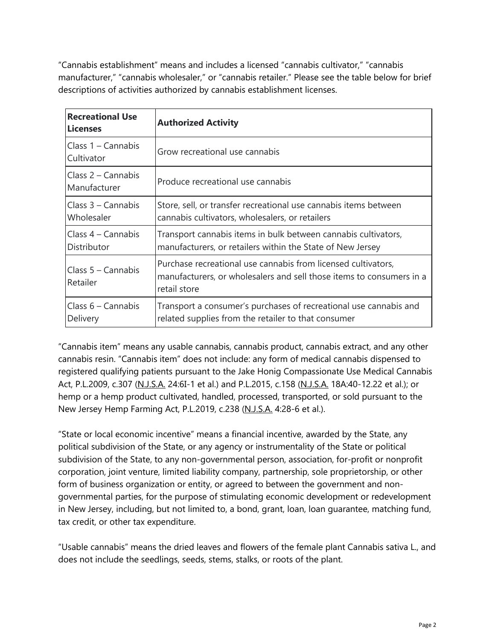"Cannabis establishment" means and includes a licensed "cannabis cultivator," "cannabis manufacturer," "cannabis wholesaler," or "cannabis retailer." Please see the table below for brief descriptions of activities authorized by cannabis establishment licenses.

| <b>Recreational Use</b><br><b>Licenses</b> | <b>Authorized Activity</b>                                                                                                                            |
|--------------------------------------------|-------------------------------------------------------------------------------------------------------------------------------------------------------|
| Class $1 -$ Cannabis<br>Cultivator         | Grow recreational use cannabis                                                                                                                        |
| Class 2 – Cannabis<br>Manufacturer         | Produce recreational use cannabis                                                                                                                     |
| Class $3$ – Cannabis<br>Wholesaler         | Store, sell, or transfer recreational use cannabis items between<br>cannabis cultivators, wholesalers, or retailers                                   |
| Class $4$ – Cannabis<br><b>Distributor</b> | Transport cannabis items in bulk between cannabis cultivators,<br>manufacturers, or retailers within the State of New Jersey                          |
| Class $5 -$ Cannabis<br>Retailer           | Purchase recreational use cannabis from licensed cultivators,<br>manufacturers, or wholesalers and sell those items to consumers in a<br>retail store |
| Class $6 -$ Cannabis<br>Delivery           | Transport a consumer's purchases of recreational use cannabis and<br>related supplies from the retailer to that consumer                              |

"Cannabis item" means any usable cannabis, cannabis product, cannabis extract, and any other cannabis resin. "Cannabis item" does not include: any form of medical cannabis dispensed to registered qualifying patients pursuant to the Jake Honig Compassionate Use Medical Cannabis Act, P.L.2009, c.307 (N.J.S.A. 24:6I-1 et al.) and P.L.2015, c.158 (N.J.S.A. 18A:40-12.22 et al.); or hemp or a hemp product cultivated, handled, processed, transported, or sold pursuant to the New Jersey Hemp Farming Act, P.L.2019, c.238 (N.J.S.A. 4:28-6 et al.).

"State or local economic incentive" means a financial incentive, awarded by the State, any political subdivision of the State, or any agency or instrumentality of the State or political subdivision of the State, to any non-governmental person, association, for-profit or nonprofit corporation, joint venture, limited liability company, partnership, sole proprietorship, or other form of business organization or entity, or agreed to between the government and nongovernmental parties, for the purpose of stimulating economic development or redevelopment in New Jersey, including, but not limited to, a bond, grant, loan, loan guarantee, matching fund, tax credit, or other tax expenditure.

"Usable cannabis" means the dried leaves and flowers of the female plant Cannabis sativa L., and does not include the seedlings, seeds, stems, stalks, or roots of the plant.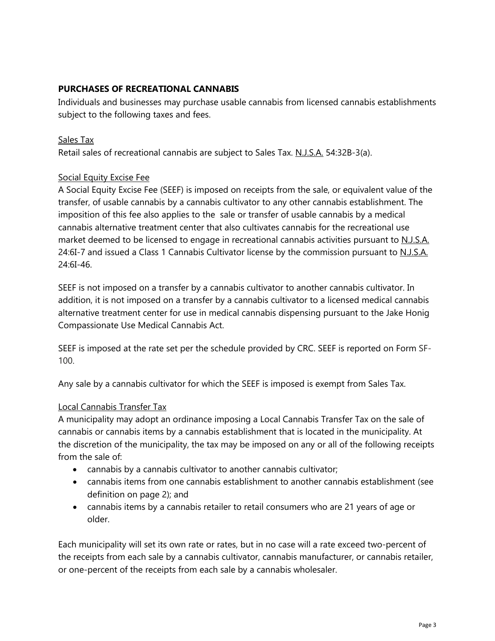# **PURCHASES OF RECREATIONAL CANNABIS**

Individuals and businesses may purchase usable cannabis from licensed cannabis establishments subject to the following taxes and fees.

#### Sales Tax

Retail sales of recreational cannabis are subject to Sales Tax. N.J.S.A. 54:32B-3(a).

### Social Equity Excise Fee

A Social Equity Excise Fee (SEEF) is imposed on receipts from the sale, or equivalent value of the transfer, of usable cannabis by a cannabis cultivator to any other cannabis establishment. The imposition of this fee also applies to the sale or transfer of usable cannabis by a medical cannabis alternative treatment center that also cultivates cannabis for the recreational use market deemed to be licensed to engage in recreational cannabis activities pursuant to N.J.S.A. 24:6I-7 and issued a Class 1 Cannabis Cultivator license by the commission pursuant to N.J.S.A. 24:6I-46.

SEEF is not imposed on a transfer by a cannabis cultivator to another cannabis cultivator. In addition, it is not imposed on a transfer by a cannabis cultivator to a licensed medical cannabis alternative treatment center for use in medical cannabis dispensing pursuant to the Jake Honig Compassionate Use Medical Cannabis Act.

SEEF is imposed at the rate set per the schedule provided by CRC. SEEF is reported on Form SF-100.

Any sale by a cannabis cultivator for which the SEEF is imposed is exempt from Sales Tax.

### Local Cannabis Transfer Tax

A municipality may adopt an ordinance imposing a Local Cannabis Transfer Tax on the sale of cannabis or cannabis items by a cannabis establishment that is located in the municipality. At the discretion of the municipality, the tax may be imposed on any or all of the following receipts from the sale of:

- cannabis by a cannabis cultivator to another cannabis cultivator;
- cannabis items from one cannabis establishment to another cannabis establishment (see definition on page 2); and
- cannabis items by a cannabis retailer to retail consumers who are 21 years of age or older.

Each municipality will set its own rate or rates, but in no case will a rate exceed two-percent of the receipts from each sale by a cannabis cultivator, cannabis manufacturer, or cannabis retailer, or one-percent of the receipts from each sale by a cannabis wholesaler.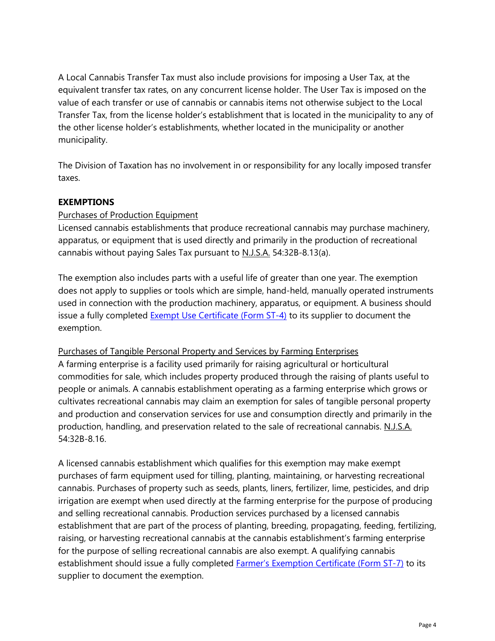A Local Cannabis Transfer Tax must also include provisions for imposing a User Tax, at the equivalent transfer tax rates, on any concurrent license holder. The User Tax is imposed on the value of each transfer or use of cannabis or cannabis items not otherwise subject to the Local Transfer Tax, from the license holder's establishment that is located in the municipality to any of the other license holder's establishments, whether located in the municipality or another municipality.

The Division of Taxation has no involvement in or responsibility for any locally imposed transfer taxes.

### **EXEMPTIONS**

### Purchases of Production Equipment

Licensed cannabis establishments that produce recreational cannabis may purchase machinery, apparatus, or equipment that is used directly and primarily in the production of recreational cannabis without paying Sales Tax pursuant to N.J.S.A. 54:32B-8.13(a).

The exemption also includes parts with a useful life of greater than one year. The exemption does not apply to supplies or tools which are simple, hand-held, manually operated instruments used in connection with the production machinery, apparatus, or equipment. A business should issue a fully completed **Exempt Use Certificate (Form ST-4)** to its supplier to document the exemption.

### Purchases of Tangible Personal Property and Services by Farming Enterprises

A farming enterprise is a facility used primarily for raising agricultural or horticultural commodities for sale, which includes property produced through the raising of plants useful to people or animals. A cannabis establishment operating as a farming enterprise which grows or cultivates recreational cannabis may claim an exemption for sales of tangible personal property and production and conservation services for use and consumption directly and primarily in the production, handling, and preservation related to the sale of recreational cannabis. N.J.S.A. 54:32B-8.16.

A licensed cannabis establishment which qualifies for this exemption may make exempt purchases of farm equipment used for tilling, planting, maintaining, or harvesting recreational cannabis. Purchases of property such as seeds, plants, liners, fertilizer, lime, pesticides, and drip irrigation are exempt when used directly at the farming enterprise for the purpose of producing and selling recreational cannabis. Production services purchased by a licensed cannabis establishment that are part of the process of planting, breeding, propagating, feeding, fertilizing, raising, or harvesting recreational cannabis at the cannabis establishment's farming enterprise for the purpose of selling recreational cannabis are also exempt. A qualifying cannabis establishment should issue a fully completed **Farmer's Exemption Certificate (Form ST-7)** to its supplier to document the exemption.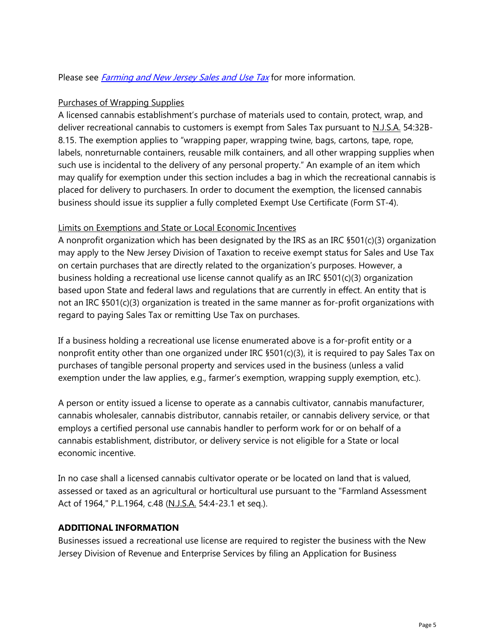Please see *[Farming and New Jersey Sales and Use Tax](http://www.state.nj.us/agriculture/pdf/farmingsalesandusetaxguide.pdf)* for more information.

### Purchases of Wrapping Supplies

A licensed cannabis establishment's purchase of materials used to contain, protect, wrap, and deliver recreational cannabis to customers is exempt from Sales Tax pursuant to N.J.S.A. 54:32B-8.15. The exemption applies to "wrapping paper, wrapping twine, bags, cartons, tape, rope, labels, nonreturnable containers, reusable milk containers, and all other wrapping supplies when such use is incidental to the delivery of any personal property." An example of an item which may qualify for exemption under this section includes a bag in which the recreational cannabis is placed for delivery to purchasers. In order to document the exemption, the licensed cannabis business should issue its supplier a fully completed Exempt Use Certificate (Form ST-4).

## Limits on Exemptions and State or Local Economic Incentives

A nonprofit organization which has been designated by the IRS as an IRC §501(c)(3) organization may apply to the New Jersey Division of Taxation to receive exempt status for Sales and Use Tax on certain purchases that are directly related to the organization's purposes. However, a business holding a recreational use license cannot qualify as an IRC §501(c)(3) organization based upon State and federal laws and regulations that are currently in effect. An entity that is not an IRC §501(c)(3) organization is treated in the same manner as for-profit organizations with regard to paying Sales Tax or remitting Use Tax on purchases.

If a business holding a recreational use license enumerated above is a for-profit entity or a nonprofit entity other than one organized under IRC §501(c)(3), it is required to pay Sales Tax on purchases of tangible personal property and services used in the business (unless a valid exemption under the law applies, e.g., farmer's exemption, wrapping supply exemption, etc.).

A person or entity issued a license to operate as a cannabis cultivator, cannabis manufacturer, cannabis wholesaler, cannabis distributor, cannabis retailer, or cannabis delivery service, or that employs a certified personal use cannabis handler to perform work for or on behalf of a cannabis establishment, distributor, or delivery service is not eligible for a State or local economic incentive.

In no case shall a licensed cannabis cultivator operate or be located on land that is valued, assessed or taxed as an agricultural or horticultural use pursuant to the "Farmland Assessment Act of 1964," P.L.1964, c.48 (N.J.S.A. 54:4-23.1 et seq.).

### **ADDITIONAL INFORMATION**

Businesses issued a recreational use license are required to register the business with the New Jersey Division of Revenue and Enterprise Services by filing an Application for Business